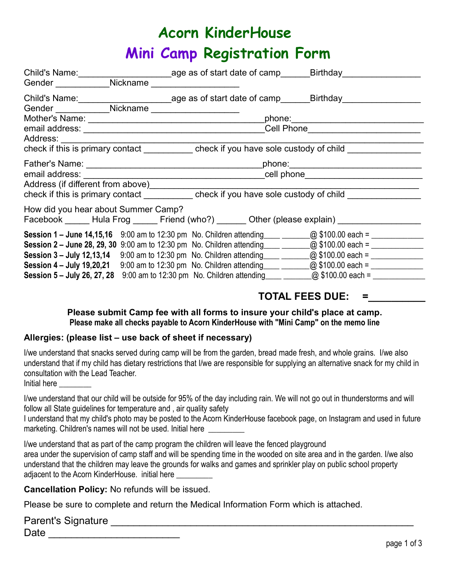# Acorn KinderHouse Mini Camp Registration Form

|                            |                                     | Child's Name:__________________________________age as of start date of camp_______Birthday__________                   |                                   |
|----------------------------|-------------------------------------|------------------------------------------------------------------------------------------------------------------------|-----------------------------------|
|                            |                                     | Gender Nickname                                                                                                        |                                   |
| Gender ___________Nickname |                                     | Child's Name:__________________________age as of start date of camp______Birthday__________________                    |                                   |
|                            |                                     |                                                                                                                        |                                   |
|                            |                                     |                                                                                                                        | phone:_______________________     |
|                            |                                     |                                                                                                                        | Cell Phone_______________________ |
| Address: <b>Address</b>    |                                     |                                                                                                                        |                                   |
|                            |                                     | check if this is primary contact check if you have sole custody of child                                               |                                   |
|                            |                                     |                                                                                                                        |                                   |
| email address: _______     |                                     |                                                                                                                        |                                   |
|                            | Address (if different from above)   |                                                                                                                        |                                   |
|                            |                                     | check if this is primary contact ___________ check if you have sole custody of child                                   |                                   |
|                            |                                     |                                                                                                                        |                                   |
|                            | How did you hear about Summer Camp? |                                                                                                                        |                                   |
|                            |                                     | Facebook ______ Hula Frog ______ Friend (who?) ______ Other (please explain) ________________                          |                                   |
|                            |                                     | <b>Session 1 – June 14,15,16</b> 9:00 am to 12:30 pm No. Children attending ____ _______@ \$100.00 each = ____________ |                                   |
|                            |                                     |                                                                                                                        |                                   |
|                            |                                     |                                                                                                                        |                                   |
|                            |                                     | Session 4 – July 19,20,21 9:00 am to 12:30 pm No. Children attending ____ ______ @ \$100.00 each = ___________         |                                   |
|                            |                                     |                                                                                                                        |                                   |
|                            |                                     |                                                                                                                        |                                   |

# TOTAL FEES DUE:

## Please submit Camp fee with all forms to insure your child's place at camp. Please make all checks payable to Acorn KinderHouse with "Mini Camp" on the memo line

## Allergies: (please list – use back of sheet if necessary)

I/we understand that snacks served during camp will be from the garden, bread made fresh, and whole grains. I/we also understand that if my child has dietary restrictions that I/we are responsible for supplying an alternative snack for my child in consultation with the Lead Teacher.

Initial here

I/we understand that our child will be outside for 95% of the day including rain. We will not go out in thunderstorms and will follow all State guidelines for temperature and , air quality safety

I understand that my child's photo may be posted to the Acorn KinderHouse facebook page, on Instagram and used in future marketing. Children's names will not be used. Initial here

| I/we understand that as part of the camp program the children will leave the fenced playground                             |
|----------------------------------------------------------------------------------------------------------------------------|
| area under the supervision of camp staff and will be spending time in the wooded on site area and in the garden. I/we also |
| understand that the children may leave the grounds for walks and games and sprinkler play on public school property        |
| adjacent to the Acorn KinderHouse. initial here                                                                            |

Cancellation Policy: No refunds will be issued.

Please be sure to complete and return the Medical Information Form which is attached.

| Parent's Signature |  |
|--------------------|--|
| Date               |  |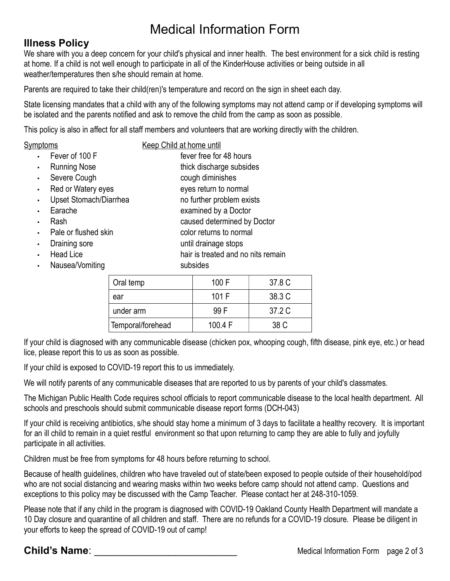# Medical Information Form

# Illness Policy

We share with you a deep concern for your child's physical and inner health. The best environment for a sick child is resting at home. If a child is not well enough to participate in all of the KinderHouse activities or being outside in all weather/temperatures then s/he should remain at home.

Parents are required to take their child(ren)'s temperature and record on the sign in sheet each day.

State licensing mandates that a child with any of the following symptoms may not attend camp or if developing symptoms will be isolated and the parents notified and ask to remove the child from the camp as soon as possible.

This policy is also in affect for all staff members and volunteers that are working directly with the children.

| Symptoms |                          | Keep Child at home until  |
|----------|--------------------------|---------------------------|
|          | $\cdot$ Fever of 100 F   | fever free for 48 hours   |
|          | • Running Nose           | thick discharge subsides  |
|          | • Severe Cough           | cough diminishes          |
|          | • Red or Watery eyes     | eyes return to normal     |
|          | • Upset Stomach/Diarrhea | no further problem exists |

- 
- Earache examined by a Doctor
- **Pash caused determined by Doctor** caused determined by Doctor
- Pale or flushed skin color returns to normal
- **Draining sore can be until drainage stops**
- 
- Nausea/Vomiting subsides

| Head Lice | hair is treated and no nits remain |
|-----------|------------------------------------|

| Oral temp         | 100 F   | 37.8 C |
|-------------------|---------|--------|
| ear               | 101 F   | 38.3 C |
| under arm         | 99 F    | 37.2 C |
| Temporal/forehead | 100.4 F | 38 C   |

If your child is diagnosed with any communicable disease (chicken pox, whooping cough, fifth disease, pink eye, etc.) or head lice, please report this to us as soon as possible.

If your child is exposed to COVID-19 report this to us immediately.

We will notify parents of any communicable diseases that are reported to us by parents of your child's classmates.

The Michigan Public Health Code requires school officials to report communicable disease to the local health department. All schools and preschools should submit communicable disease report forms (DCH-043)

If your child is receiving antibiotics, s/he should stay home a minimum of 3 days to facilitate a healthy recovery. It is important for an ill child to remain in a quiet restful environment so that upon returning to camp they are able to fully and joyfully participate in all activities.

Children must be free from symptoms for 48 hours before returning to school.

Because of health guidelines, children who have traveled out of state/been exposed to people outside of their household/pod who are not social distancing and wearing masks within two weeks before camp should not attend camp. Questions and exceptions to this policy may be discussed with the Camp Teacher. Please contact her at 248-310-1059.

Please note that if any child in the program is diagnosed with COVID-19 Oakland County Health Department will mandate a 10 Day closure and quarantine of all children and staff. There are no refunds for a COVID-19 closure. Please be diligent in your efforts to keep the spread of COVID-19 out of camp!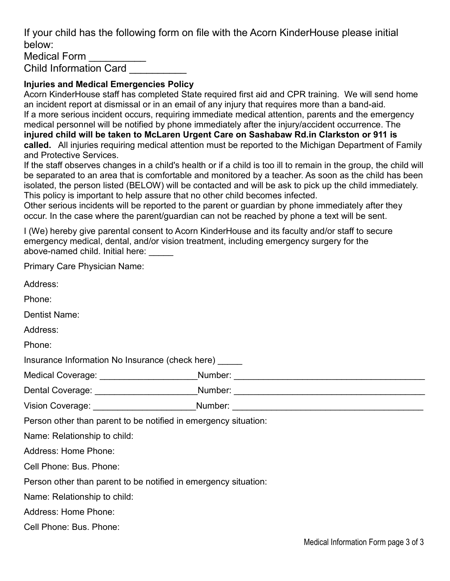If your child has the following form on file with the Acorn KinderHouse please initial below: Medical Form

Child Information Card \_\_\_\_\_\_\_\_\_\_

# Injuries and Medical Emergencies Policy

Acorn KinderHouse staff has completed State required first aid and CPR training. We will send home an incident report at dismissal or in an email of any injury that requires more than a band-aid. If a more serious incident occurs, requiring immediate medical attention, parents and the emergency medical personnel will be notified by phone immediately after the injury/accident occurrence. The injured child will be taken to McLaren Urgent Care on Sashabaw Rd.in Clarkston or 911 is called. All injuries requiring medical attention must be reported to the Michigan Department of Family and Protective Services.

If the staff observes changes in a child's health or if a child is too ill to remain in the group, the child will be separated to an area that is comfortable and monitored by a teacher. As soon as the child has been isolated, the person listed (BELOW) will be contacted and will be ask to pick up the child immediately. This policy is important to help assure that no other child becomes infected.

Other serious incidents will be reported to the parent or guardian by phone immediately after they occur. In the case where the parent/guardian can not be reached by phone a text will be sent.

I (We) hereby give parental consent to Acorn KinderHouse and its faculty and/or staff to secure emergency medical, dental, and/or vision treatment, including emergency surgery for the above-named child. Initial here:

| Primary Care Physician Name:                                    |                                                                                  |
|-----------------------------------------------------------------|----------------------------------------------------------------------------------|
| Address:                                                        |                                                                                  |
| Phone:                                                          |                                                                                  |
| Dentist Name:                                                   |                                                                                  |
| Address:                                                        |                                                                                  |
| Phone:                                                          |                                                                                  |
| Insurance Information No Insurance (check here) _____           |                                                                                  |
|                                                                 | Medical Coverage: ______________________Number: ________________________________ |
|                                                                 | Dental Coverage: _________________________Number: ______________________________ |
|                                                                 | Vision Coverage: ________________________Number: _______________________________ |
| Person other than parent to be notified in emergency situation: |                                                                                  |
| Name: Relationship to child:                                    |                                                                                  |
| Address: Home Phone:                                            |                                                                                  |
| Cell Phone: Bus. Phone:                                         |                                                                                  |
| Person other than parent to be notified in emergency situation: |                                                                                  |
| Name: Relationship to child:                                    |                                                                                  |
| Address: Home Phone:                                            |                                                                                  |
| Cell Phone: Bus. Phone:                                         |                                                                                  |
|                                                                 |                                                                                  |